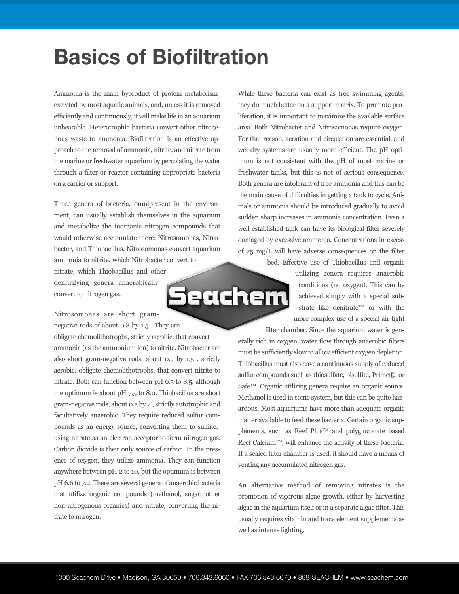## **Basics of Biofiltration**

Ammonia is the main byproduct of protein metabolism excreted by most aquatic animals, and, unless it is removed efficiently and continuously, it will make life in an aquarium unbearable. Heterotrophic bacteria convert other nitrogenous waste to ammonia. Biofiltration is an effective approach to the removal of ammonia, nitrite, and nitrate from the marine or freshwater aquarium by percolating the water through a filter or reactor containing appropriate bacteria on a carrier or support.

Three genera of bacteria, omnipresent in the environment, can usually establish themselves in the aquarium and metabolize the inorganic nitrogen compounds that would otherwise accumulate there: Nitrosomonas, Nitrobacter, and Thiobacillus. Nitrosomonas convert aquarium ammonia to nitrite, which Nitrobacter convert to nitrate, which Thiobacillus and other

denitrifying genera anaerobically convert to nitrogen gas.

Nitrosomonas are short gramnegative rods of about 0.8 by 1.5 . They are

obligate chemolithotrophs, strictly aerobic, that convert ammonia (as the ammonium ion) to nitrite. Nitrobacter are also short gram-negative rods, about 0.7 by 1.5 , strictly aerobic, obligate chemolithotrophs, that convert nitrite to nitrate. Both can function between pH 6.5 to 8.5, although the optimum is about pH 7.5 to 8.0. Thiobacillus are short gram-negative rods, about 0.5 by 2 , strictly autotrophic and facultatively anaerobic. They require reduced sulfur compounds as an energy source, converting them to sulfate, using nitrate as an electron acceptor to form nitrogen gas. Carbon dioxide is their only source of carbon. In the presence of oxygen, they utilize ammonia. They can function anywhere between pH 2 to 10, but the optimum is between pH 6.6 to 7.2. There are several genera of anaerobic bacteria that utilize organic compounds (methanol, sugar, other non-nitrogenous organics) and nitrate, converting the nitrate to nitrogen.

While these bacteria can exist as free swimming agents, they do much better on a support matrix. To promote proliferation, it is important to maximize the available surface area. Both Nitrobacter and Nitrosomonas require oxygen. For that reason, aeration and circulation are essential, and wet-dry systems are usually more efficient. The pH optimum is not consistent with the pH of most marine or freshwater tanks, but this is not of serious consequence. Both genera are intolerant of free ammonia and this can be the main cause of difficulties in getting a tank to cycle. Animals or ammonia should be introduced gradually to avoid sudden sharp increases in ammonia concentration. Even a well established tank can have its biological filter severely damaged by excessive ammonia. Concentrations in excess of 25 mg/L will have adverse consequences on the filter

bed. Effective use of Thiobacillus and organic utilizing genera requires anaerobic conditions (no oxygen). This can be achieved simply with a special substrate like denitrate™ or with the more complex use of a special air-tight

filter chamber. Since the aquarium water is generally rich in oxygen, water flow through anaerobic filters must be sufficiently slow to allow efficient oxygen depletion. Thiobacillus must also have a continuous supply of reduced sulfur compounds such as thiosulfate, bisulfite, Prime®, or Safe™. Organic utilizing genera require an organic source. Methanol is used in some system, but this can be quite hazardous. Most aquariums have more than adequate organic matter available to feed these bacteria. Certain organic supplements, such as Reef Plus™ and polygluconate based Reef Calcium™, will enhance the activity of these bacteria. If a sealed filter chamber is used, it should have a means of venting any accumulated nitrogen gas.

An alternative method of removing nitrates is the promotion of vigorous algae growth, either by harvesting algae in the aquarium itself or in a separate algae filter. This usually requires vitamin and trace element supplements as well as intense lighting.

**Seachem**